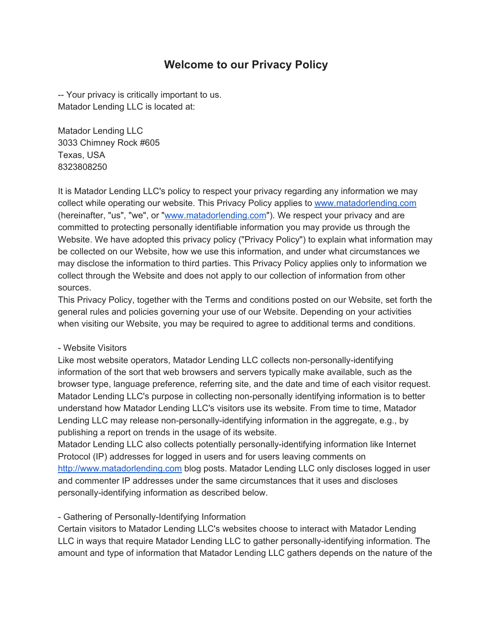# **Welcome to our Privacy Policy**

-- Your privacy is critically important to us. Matador Lending LLC is located at:

Matador Lending LLC 3033 Chimney Rock #605 Texas, USA 8323808250

It is Matador Lending LLC's policy to respect your privacy regarding any information we may collect while operating our website. This Privacy Policy applies to [www.matadorlending.com](http://www.matadorlending.com/) (hereinafter, "us", "we", or "[www.matadorlending.com"](http://www.matadorlending.com/)). We respect your privacy and are committed to protecting personally identifiable information you may provide us through the Website. We have adopted this privacy policy ("Privacy Policy") to explain what information may be collected on our Website, how we use this information, and under what circumstances we may disclose the information to third parties. This Privacy Policy applies only to information we collect through the Website and does not apply to our collection of information from other sources.

This Privacy Policy, together with the Terms and conditions posted on our Website, set forth the general rules and policies governing your use of our Website. Depending on your activities when visiting our Website, you may be required to agree to additional terms and conditions.

#### - Website Visitors

Like most website operators, Matador Lending LLC collects non-personally-identifying information of the sort that web browsers and servers typically make available, such as the browser type, language preference, referring site, and the date and time of each visitor request. Matador Lending LLC's purpose in collecting non-personally identifying information is to better understand how Matador Lending LLC's visitors use its website. From time to time, Matador Lending LLC may release non-personally-identifying information in the aggregate, e.g., by publishing a report on trends in the usage of its website.

Matador Lending LLC also collects potentially personally-identifying information like Internet Protocol (IP) addresses for logged in users and for users leaving comments on [http://www.matadorlending.com](http://www.matadorlending.com/) blog posts. Matador Lending LLC only discloses logged in user and commenter IP addresses under the same circumstances that it uses and discloses personally-identifying information as described below.

#### - Gathering of Personally-Identifying Information

Certain visitors to Matador Lending LLC's websites choose to interact with Matador Lending LLC in ways that require Matador Lending LLC to gather personally-identifying information. The amount and type of information that Matador Lending LLC gathers depends on the nature of the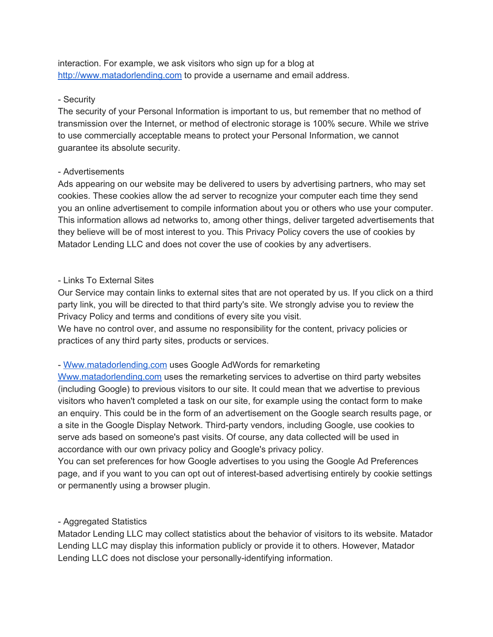interaction. For example, we ask visitors who sign up for a blog at [http://www.matadorlending.com](http://www.matadorlending.com/) to provide a username and email address.

#### - Security

The security of your Personal Information is important to us, but remember that no method of transmission over the Internet, or method of electronic storage is 100% secure. While we strive to use commercially acceptable means to protect your Personal Information, we cannot guarantee its absolute security.

#### - Advertisements

Ads appearing on our website may be delivered to users by advertising partners, who may set cookies. These cookies allow the ad server to recognize your computer each time they send you an online advertisement to compile information about you or others who use your computer. This information allows ad networks to, among other things, deliver targeted advertisements that they believe will be of most interest to you. This Privacy Policy covers the use of cookies by Matador Lending LLC and does not cover the use of cookies by any advertisers.

# - Links To External Sites

Our Service may contain links to external sites that are not operated by us. If you click on a third party link, you will be directed to that third party's site. We strongly advise you to review the Privacy Policy and terms and conditions of every site you visit.

We have no control over, and assume no responsibility for the content, privacy policies or practices of any third party sites, products or services.

# - [Www.matadorlending.com](http://www.matadorlending.com/) uses Google AdWords for remarketing

[Www.matadorlending.com](http://www.matadorlending.com/) uses the remarketing services to advertise on third party websites (including Google) to previous visitors to our site. It could mean that we advertise to previous visitors who haven't completed a task on our site, for example using the contact form to make an enquiry. This could be in the form of an advertisement on the Google search results page, or a site in the Google Display Network. Third-party vendors, including Google, use cookies to serve ads based on someone's past visits. Of course, any data collected will be used in accordance with our own privacy policy and Google's privacy policy.

You can set preferences for how Google advertises to you using the Google Ad Preferences page, and if you want to you can opt out of interest-based advertising entirely by cookie settings or permanently using a browser plugin.

# - Aggregated Statistics

Matador Lending LLC may collect statistics about the behavior of visitors to its website. Matador Lending LLC may display this information publicly or provide it to others. However, Matador Lending LLC does not disclose your personally-identifying information.